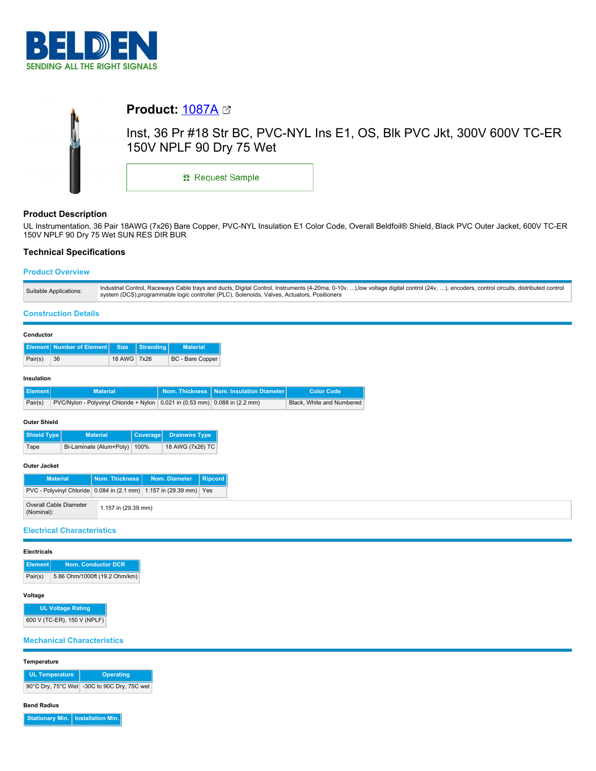

# **Product: [1087A](https://catalog.belden.com/index.cfm?event=pd&p=PF_1087A&tab=downloads) 23** Inst, 36 Pr #18 Str BC, PVC-NYL Ins E1, OS, Blk PVC Jkt, 300V 600V TC-ER 150V NPLF 90 Dry 75 Wet **::** Request Sample

# **Product Description**

UL Instrumentation, 36 Pair 18AWG (7x26) Bare Copper, PVC-NYL Insulation E1 Color Code, Overall Beldfoil® Shield, Black PVC Outer Jacket, 600V TC-ER 150V NPLF 90 Dry 75 Wet SUN RES DIR BUR

# **Technical Specifications**

# **Product Overview**

| Industrial Control, Raceways Cable trays and ducts, Digital Control, Instruments (4-20ma, 0-10v, ),low voltage digital control (24v, ), encoders, control circuits, distributed control<br>Suitable Applications:<br>system (DCS),programmable logic controller (PLC), Solenoids, Valves, Actuators, Positioners |  |
|------------------------------------------------------------------------------------------------------------------------------------------------------------------------------------------------------------------------------------------------------------------------------------------------------------------|--|
|------------------------------------------------------------------------------------------------------------------------------------------------------------------------------------------------------------------------------------------------------------------------------------------------------------------|--|

### **Construction Details**

|            | Conductor                                                                              |                             |               |           |                  |                                           |                   |
|------------|----------------------------------------------------------------------------------------|-----------------------------|---------------|-----------|------------------|-------------------------------------------|-------------------|
|            |                                                                                        | Element Number of Element I | <b>Size</b>   | Stranding | <b>Material</b>  |                                           |                   |
|            | Pair(s)                                                                                | 36                          | <b>18 AWG</b> | 7x26      | BC - Bare Copper |                                           |                   |
| Insulation |                                                                                        |                             |               |           |                  |                                           |                   |
|            | <b>Element</b>                                                                         | <b>Material</b>             |               |           |                  | Nom. Thickness   Nom. Insulation Diameter | <b>Color Code</b> |
|            | Pair(s)<br>PVC/Nylon - Polyvinyl Chloride + Nylon 0.021 in (0.53 mm) 0.088 in (2.2 mm) |                             |               |           |                  | Black, White and Numbered                 |                   |
|            | Outer Shield                                                                           |                             |               |           |                  |                                           |                   |

| l Shield Tvpe l | <b>Material</b>         | Coverage | Drainwire Type,  |
|-----------------|-------------------------|----------|------------------|
| Tape            | Bi-Laminate (Alum+Poly) | 100%     | 18 AWG (7x26) TC |
| .               |                         |          |                  |

#### **Outer Jacket**

| <b>Material</b>                                                    |                     | Nom. Thickness   Nom. Diameter | Ripcord |
|--------------------------------------------------------------------|---------------------|--------------------------------|---------|
| PVC - Polyvinyl Chloride 0.084 in (2.1 mm) 1.157 in (29.39 mm) Yes |                     |                                |         |
| Overall Cable Diameter<br>(Nominal):                               | 1.157 in (29.39 mm) |                                |         |

# **Electrical Characteristics**

#### **Electricals**

| <b>Element</b> | <b>Nom. Conductor DCR</b>     |
|----------------|-------------------------------|
| Pair(s)        | 5.86 Ohm/1000ft (19.2 Ohm/km) |

# **Voltage**

**UL Voltage Rating** 600 V (TC-ER), 150 V (NPLF)

# **Mechanical Characteristics**

**Temperature**

| <b>UL Temperature</b> | <b>Operating</b>                            |  |  |
|-----------------------|---------------------------------------------|--|--|
|                       | 90°C Dry, 75°C Wet -30C to 90C Dry, 75C wet |  |  |

#### **Bend Radius**

**Stationary Min. Installation Min.**